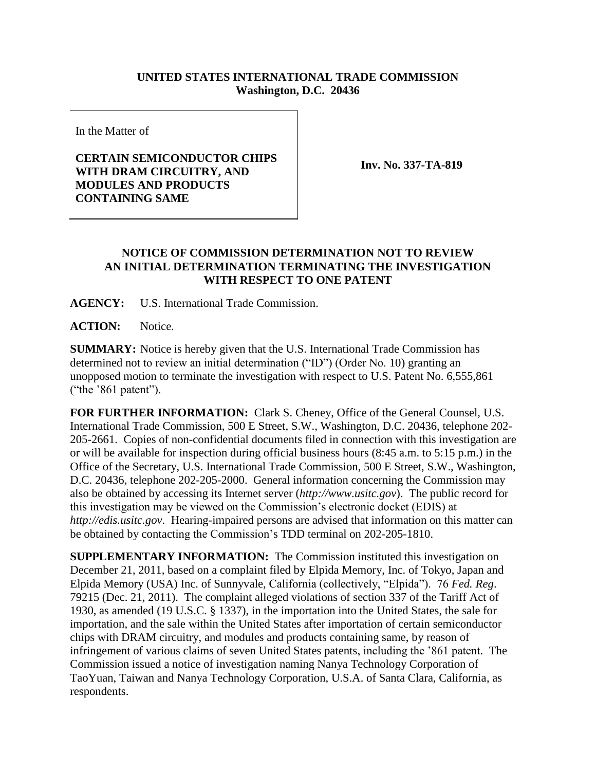## **UNITED STATES INTERNATIONAL TRADE COMMISSION Washington, D.C. 20436**

In the Matter of

## **CERTAIN SEMICONDUCTOR CHIPS WITH DRAM CIRCUITRY, AND MODULES AND PRODUCTS CONTAINING SAME**

**Inv. No. 337-TA-819**

## **NOTICE OF COMMISSION DETERMINATION NOT TO REVIEW AN INITIAL DETERMINATION TERMINATING THE INVESTIGATION WITH RESPECT TO ONE PATENT**

**AGENCY:** U.S. International Trade Commission.

**ACTION:** Notice.

**SUMMARY:** Notice is hereby given that the U.S. International Trade Commission has determined not to review an initial determination ("ID") (Order No. 10) granting an unopposed motion to terminate the investigation with respect to U.S. Patent No. 6,555,861 ("the '861 patent").

**FOR FURTHER INFORMATION:** Clark S. Cheney, Office of the General Counsel, U.S. International Trade Commission, 500 E Street, S.W., Washington, D.C. 20436, telephone 202- 205-2661. Copies of non-confidential documents filed in connection with this investigation are or will be available for inspection during official business hours (8:45 a.m. to 5:15 p.m.) in the Office of the Secretary, U.S. International Trade Commission, 500 E Street, S.W., Washington, D.C. 20436, telephone 202-205-2000. General information concerning the Commission may also be obtained by accessing its Internet server (*http://www.usitc.gov*). The public record for this investigation may be viewed on the Commission's electronic docket (EDIS) at *http://edis.usitc.gov*. Hearing-impaired persons are advised that information on this matter can be obtained by contacting the Commission's TDD terminal on 202-205-1810.

**SUPPLEMENTARY INFORMATION:** The Commission instituted this investigation on December 21, 2011, based on a complaint filed by Elpida Memory, Inc. of Tokyo, Japan and Elpida Memory (USA) Inc. of Sunnyvale, California (collectively, "Elpida"). 76 *Fed. Reg*. 79215 (Dec. 21, 2011). The complaint alleged violations of section 337 of the Tariff Act of 1930, as amended (19 U.S.C. § 1337), in the importation into the United States, the sale for importation, and the sale within the United States after importation of certain semiconductor chips with DRAM circuitry, and modules and products containing same, by reason of infringement of various claims of seven United States patents, including the '861 patent. The Commission issued a notice of investigation naming Nanya Technology Corporation of TaoYuan, Taiwan and Nanya Technology Corporation, U.S.A. of Santa Clara, California, as respondents.